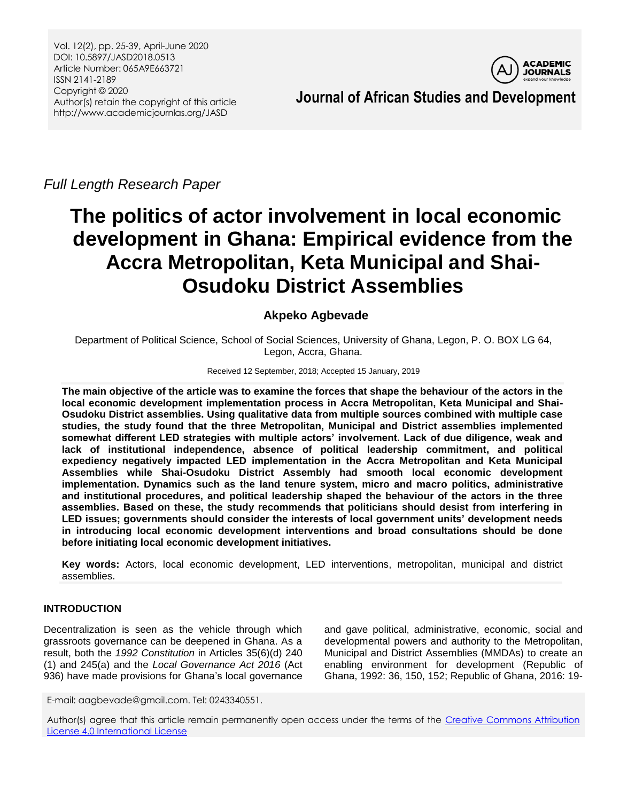Vol. 12(2), pp. 25-39, April-June 2020 DOI: 10.5897/JASD2018.0513 Article Number: 065A9E663721 ISSN 2141-2189 Copyright © 2020 Author(s) retain the copyright of this article http://www.academicjournlas.org/JASD



**Journal of African Studies and Development**

*Full Length Research Paper*

# **The politics of actor involvement in local economic development in Ghana: Empirical evidence from the Accra Metropolitan, Keta Municipal and Shai-Osudoku District Assemblies**

# **Akpeko Agbevade**

Department of Political Science, School of Social Sciences, University of Ghana, Legon, P. O. BOX LG 64, Legon, Accra, Ghana.

#### Received 12 September, 2018; Accepted 15 January, 2019

**The main objective of the article was to examine the forces that shape the behaviour of the actors in the local economic development implementation process in Accra Metropolitan, Keta Municipal and Shai-Osudoku District assemblies. Using qualitative data from multiple sources combined with multiple case studies, the study found that the three Metropolitan, Municipal and District assemblies implemented somewhat different LED strategies with multiple actors' involvement. Lack of due diligence, weak and lack of institutional independence, absence of political leadership commitment, and political expediency negatively impacted LED implementation in the Accra Metropolitan and Keta Municipal Assemblies while Shai-Osudoku District Assembly had smooth local economic development implementation. Dynamics such as the land tenure system, micro and macro politics, administrative and institutional procedures, and political leadership shaped the behaviour of the actors in the three assemblies. Based on these, the study recommends that politicians should desist from interfering in LED issues; governments should consider the interests of local government units' development needs in introducing local economic development interventions and broad consultations should be done before initiating local economic development initiatives.**

**Key words:** Actors, local economic development, LED interventions, metropolitan, municipal and district assemblies.

## **INTRODUCTION**

Decentralization is seen as the vehicle through which grassroots governance can be deepened in Ghana. As a result, both the *1992 Constitution* in Articles 35(6)(d) 240 (1) and 245(a) and the *Local Governance Act 2016* (Act 936) have made provisions for Ghana's local governance and gave political, administrative, economic, social and developmental powers and authority to the Metropolitan, Municipal and District Assemblies (MMDAs) to create an enabling environment for development (Republic of Ghana, 1992: 36, 150, 152; Republic of Ghana, 2016: 19-

E-mail: aagbevade@gmail.com. Tel: 0243340551.

Author(s) agree that this article remain permanently open access under the terms of the [Creative Commons Attribution](http://creativecommons.org/licenses/by/4.0/deed.en_US)  [License 4.0 International License](http://creativecommons.org/licenses/by/4.0/deed.en_US)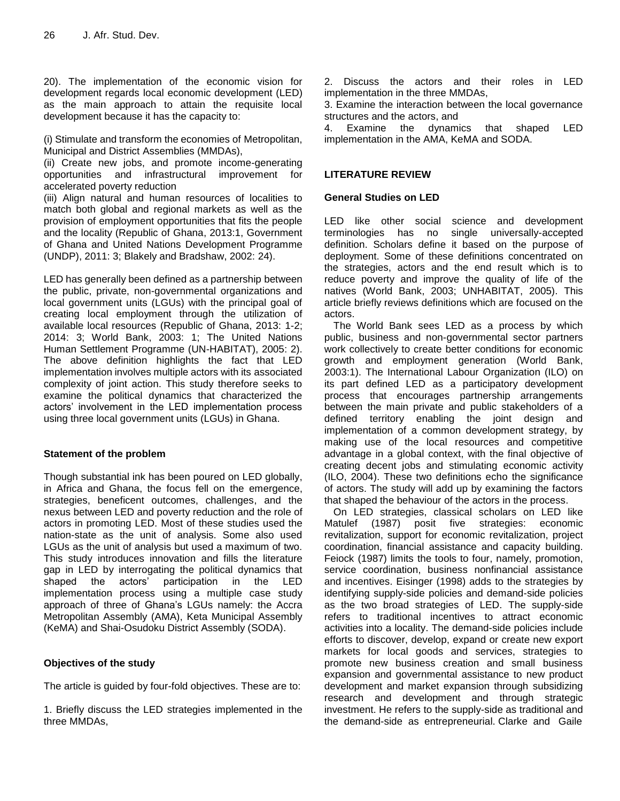20). The implementation of the economic vision for development regards local economic development (LED) as the main approach to attain the requisite local development because it has the capacity to:

(i) Stimulate and transform the economies of Metropolitan, Municipal and District Assemblies (MMDAs),

(ii) Create new jobs, and promote income-generating opportunities and infrastructural improvement for accelerated poverty reduction

(iii) Align natural and human resources of localities to match both global and regional markets as well as the provision of employment opportunities that fits the people and the locality (Republic of Ghana, 2013:1, Government of Ghana and United Nations Development Programme (UNDP), 2011: 3; Blakely and Bradshaw, 2002: 24).

LED has generally been defined as a partnership between the public, private, non-governmental organizations and local government units (LGUs) with the principal goal of creating local employment through the utilization of available local resources (Republic of Ghana, 2013: 1-2; 2014: 3; World Bank, 2003: 1; The United Nations Human Settlement Programme (UN-HABITAT), 2005: 2). The above definition highlights the fact that LED implementation involves multiple actors with its associated complexity of joint action. This study therefore seeks to examine the political dynamics that characterized the actors' involvement in the LED implementation process using three local government units (LGUs) in Ghana.

## **Statement of the problem**

Though substantial ink has been poured on LED globally, in Africa and Ghana, the focus fell on the emergence, strategies, beneficent outcomes, challenges, and the nexus between LED and poverty reduction and the role of actors in promoting LED. Most of these studies used the nation-state as the unit of analysis. Some also used LGUs as the unit of analysis but used a maximum of two. This study introduces innovation and fills the literature gap in LED by interrogating the political dynamics that shaped the actors' participation in the LED implementation process using a multiple case study approach of three of Ghana's LGUs namely: the Accra Metropolitan Assembly (AMA), Keta Municipal Assembly (KeMA) and Shai-Osudoku District Assembly (SODA).

## **Objectives of the study**

The article is guided by four-fold objectives. These are to:

1. Briefly discuss the LED strategies implemented in the three MMDAs,

2. Discuss the actors and their roles in LED implementation in the three MMDAs,

3. Examine the interaction between the local governance structures and the actors, and

4. Examine the dynamics that shaped LED implementation in the AMA, KeMA and SODA.

# **LITERATURE REVIEW**

## **General Studies on LED**

LED like other social science and development terminologies has no single universally-accepted definition. Scholars define it based on the purpose of deployment. Some of these definitions concentrated on the strategies, actors and the end result which is to reduce poverty and improve the quality of life of the natives (World Bank, 2003; UNHABITAT, 2005). This article briefly reviews definitions which are focused on the actors.

The World Bank sees LED as a process by which public, business and non-governmental sector partners work collectively to create better conditions for economic growth and employment generation (World Bank, 2003:1). The International Labour Organization (ILO) on its part defined LED as a participatory development process that encourages partnership arrangements between the main private and public stakeholders of a defined territory enabling the joint design and implementation of a common development strategy, by making use of the local resources and competitive advantage in a global context, with the final objective of creating decent jobs and stimulating economic activity (ILO, 2004). These two definitions echo the significance of actors. The study will add up by examining the factors that shaped the behaviour of the actors in the process.

On LED strategies, classical scholars on LED like Matulef (1987) posit five strategies: economic revitalization, support for economic revitalization, project coordination, financial assistance and capacity building. Feiock (1987) limits the tools to four, namely, promotion, service coordination, business nonfinancial assistance and incentives. Eisinger (1998) adds to the strategies by identifying supply-side policies and demand-side policies as the two broad strategies of LED. The supply-side refers to traditional incentives to attract economic activities into a locality. The demand-side policies include efforts to discover, develop, expand or create new export markets for local goods and services, strategies to promote new business creation and small business expansion and governmental assistance to new product development and market expansion through subsidizing research and development and through strategic investment. He refers to the supply-side as traditional and the demand-side as entrepreneurial. Clarke and Gaile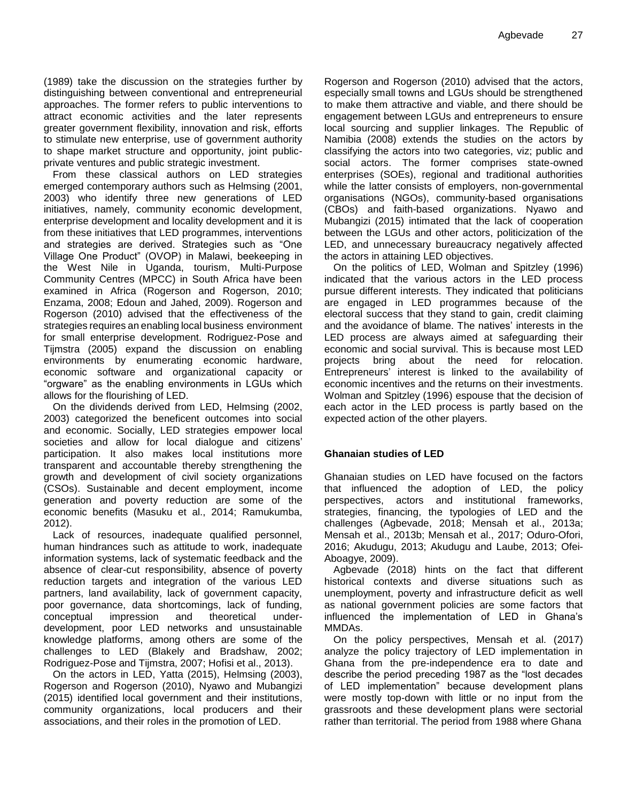(1989) take the discussion on the strategies further by distinguishing between conventional and entrepreneurial approaches. The former refers to public interventions to attract economic activities and the later represents greater government flexibility, innovation and risk, efforts to stimulate new enterprise, use of government authority to shape market structure and opportunity, joint publicprivate ventures and public strategic investment.

From these classical authors on LED strategies emerged contemporary authors such as Helmsing (2001, 2003) who identify three new generations of LED initiatives, namely, community economic development, enterprise development and locality development and it is from these initiatives that LED programmes, interventions and strategies are derived. Strategies such as "One Village One Product" (OVOP) in Malawi, beekeeping in the West Nile in Uganda, tourism, Multi-Purpose Community Centres (MPCC) in South Africa have been examined in Africa (Rogerson and Rogerson, 2010; Enzama, 2008; Edoun and Jahed, 2009). Rogerson and Rogerson (2010) advised that the effectiveness of the strategies requires an enabling local business environment for small enterprise development. Rodriguez-Pose and Tijmstra (2005) expand the discussion on enabling environments by enumerating economic hardware, economic software and organizational capacity or "orgware" as the enabling environments in LGUs which allows for the flourishing of LED.

On the dividends derived from LED, Helmsing (2002, 2003) categorized the beneficent outcomes into social and economic. Socially, LED strategies empower local societies and allow for local dialogue and citizens' participation. It also makes local institutions more transparent and accountable thereby strengthening the growth and development of civil society organizations (CSOs). Sustainable and decent employment, income generation and poverty reduction are some of the economic benefits (Masuku et al., 2014; Ramukumba, 2012).

Lack of resources, inadequate qualified personnel, human hindrances such as attitude to work, inadequate information systems, lack of systematic feedback and the absence of clear-cut responsibility, absence of poverty reduction targets and integration of the various LED partners, land availability, lack of government capacity, poor governance, data shortcomings, lack of funding, conceptual impression and theoretical underdevelopment, poor LED networks and unsustainable knowledge platforms, among others are some of the challenges to LED (Blakely and Bradshaw, 2002; Rodriguez-Pose and Tijmstra, 2007; Hofisi et al., 2013).

On the actors in LED, Yatta (2015), Helmsing (2003), Rogerson and Rogerson (2010), Nyawo and Mubangizi (2015) identified local government and their institutions, community organizations, local producers and their associations, and their roles in the promotion of LED.

Rogerson and Rogerson (2010) advised that the actors, especially small towns and LGUs should be strengthened to make them attractive and viable, and there should be engagement between LGUs and entrepreneurs to ensure local sourcing and supplier linkages. The Republic of Namibia (2008) extends the studies on the actors by classifying the actors into two categories, viz; public and social actors. The former comprises state-owned enterprises (SOEs), regional and traditional authorities while the latter consists of employers, non-governmental organisations (NGOs), community-based organisations (CBOs) and faith-based organizations. Nyawo and Mubangizi (2015) intimated that the lack of cooperation between the LGUs and other actors, politicization of the LED, and unnecessary bureaucracy negatively affected the actors in attaining LED objectives.

On the politics of LED, Wolman and Spitzley (1996) indicated that the various actors in the LED process pursue different interests. They indicated that politicians are engaged in LED programmes because of the electoral success that they stand to gain, credit claiming and the avoidance of blame. The natives' interests in the LED process are always aimed at safeguarding their economic and social survival. This is because most LED projects bring about the need for relocation. Entrepreneurs' interest is linked to the availability of economic incentives and the returns on their investments. Wolman and Spitzley (1996) espouse that the decision of each actor in the LED process is partly based on the expected action of the other players.

#### **Ghanaian studies of LED**

Ghanaian studies on LED have focused on the factors that influenced the adoption of LED, the policy perspectives, actors and institutional frameworks, strategies, financing, the typologies of LED and the challenges (Agbevade, 2018; Mensah et al., 2013a; Mensah et al., 2013b; Mensah et al., 2017; Oduro-Ofori, 2016; Akudugu, 2013; Akudugu and Laube, 2013; Ofei-Aboagye, 2009).

Agbevade (2018) hints on the fact that different historical contexts and diverse situations such as unemployment, poverty and infrastructure deficit as well as national government policies are some factors that influenced the implementation of LED in Ghana's MMDAs.

On the policy perspectives, Mensah et al. (2017) analyze the policy trajectory of LED implementation in Ghana from the pre-independence era to date and describe the period preceding 1987 as the "lost decades of LED implementation" because development plans were mostly top-down with little or no input from the grassroots and these development plans were sectorial rather than territorial. The period from 1988 where Ghana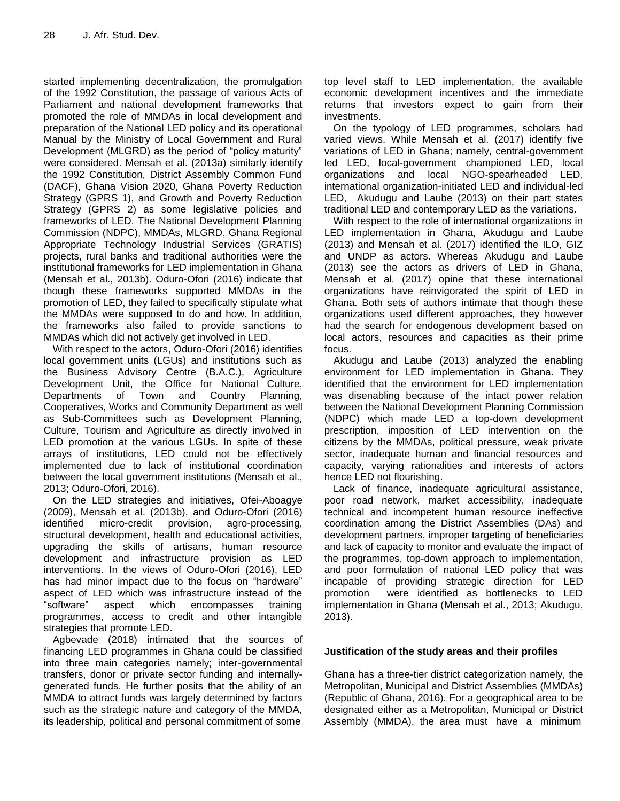started implementing decentralization, the promulgation of the 1992 Constitution, the passage of various Acts of Parliament and national development frameworks that promoted the role of MMDAs in local development and preparation of the National LED policy and its operational Manual by the Ministry of Local Government and Rural Development (MLGRD) as the period of "policy maturity" were considered. Mensah et al. (2013a) similarly identify the 1992 Constitution, District Assembly Common Fund (DACF), Ghana Vision 2020, Ghana Poverty Reduction Strategy (GPRS 1), and Growth and Poverty Reduction Strategy (GPRS 2) as some legislative policies and frameworks of LED. The National Development Planning Commission (NDPC), MMDAs, MLGRD, Ghana Regional Appropriate Technology Industrial Services (GRATIS) projects, rural banks and traditional authorities were the institutional frameworks for LED implementation in Ghana (Mensah et al., 2013b). Oduro-Ofori (2016) indicate that though these frameworks supported MMDAs in the promotion of LED, they failed to specifically stipulate what the MMDAs were supposed to do and how. In addition, the frameworks also failed to provide sanctions to MMDAs which did not actively get involved in LED.

With respect to the actors, Oduro-Ofori (2016) identifies local government units (LGUs) and institutions such as the Business Advisory Centre (B.A.C.), Agriculture Development Unit, the Office for National Culture,<br>Departments of Town and Country Planning, Departments of Town and Country Planning, Cooperatives, Works and Community Department as well as Sub-Committees such as Development Planning, Culture, Tourism and Agriculture as directly involved in LED promotion at the various LGUs. In spite of these arrays of institutions, LED could not be effectively implemented due to lack of institutional coordination between the local government institutions (Mensah et al., 2013; Oduro-Ofori, 2016).

On the LED strategies and initiatives, Ofei-Aboagye (2009), Mensah et al. (2013b), and Oduro-Ofori (2016) identified micro-credit provision, agro-processing, structural development, health and educational activities, upgrading the skills of artisans, human resource development and infrastructure provision as LED interventions. In the views of Oduro-Ofori (2016), LED has had minor impact due to the focus on "hardware" aspect of LED which was infrastructure instead of the "software" aspect which encompasses training programmes, access to credit and other intangible strategies that promote LED.

Agbevade (2018) intimated that the sources of financing LED programmes in Ghana could be classified into three main categories namely; inter-governmental transfers, donor or private sector funding and internallygenerated funds. He further posits that the ability of an MMDA to attract funds was largely determined by factors such as the strategic nature and category of the MMDA, its leadership, political and personal commitment of some

top level staff to LED implementation, the available economic development incentives and the immediate returns that investors expect to gain from their investments.

On the typology of LED programmes, scholars had varied views. While Mensah et al. (2017) identify five variations of LED in Ghana; namely, central-government led LED, local-government championed LED, local organizations and local NGO-spearheaded LED, international organization-initiated LED and individual-led LED, Akudugu and Laube (2013) on their part states traditional LED and contemporary LED as the variations.

With respect to the role of international organizations in LED implementation in Ghana, Akudugu and Laube (2013) and Mensah et al. (2017) identified the ILO, GIZ and UNDP as actors. Whereas Akudugu and Laube (2013) see the actors as drivers of LED in Ghana, Mensah et al. (2017) opine that these international organizations have reinvigorated the spirit of LED in Ghana. Both sets of authors intimate that though these organizations used different approaches, they however had the search for endogenous development based on local actors, resources and capacities as their prime focus.

Akudugu and Laube (2013) analyzed the enabling environment for LED implementation in Ghana. They identified that the environment for LED implementation was disenabling because of the intact power relation between the National Development Planning Commission (NDPC) which made LED a top-down development prescription, imposition of LED intervention on the citizens by the MMDAs, political pressure, weak private sector, inadequate human and financial resources and capacity, varying rationalities and interests of actors hence LED not flourishing.

Lack of finance, inadequate agricultural assistance, poor road network, market accessibility, inadequate technical and incompetent human resource ineffective coordination among the District Assemblies (DAs) and development partners, improper targeting of beneficiaries and lack of capacity to monitor and evaluate the impact of the programmes, top-down approach to implementation, and poor formulation of national LED policy that was incapable of providing strategic direction for LED promotion were identified as bottlenecks to LED implementation in Ghana (Mensah et al., 2013; Akudugu, 2013).

#### **Justification of the study areas and their profiles**

Ghana has a three-tier district categorization namely, the Metropolitan, Municipal and District Assemblies (MMDAs) (Republic of Ghana, 2016). For a geographical area to be designated either as a Metropolitan, Municipal or District Assembly (MMDA), the area must have a minimum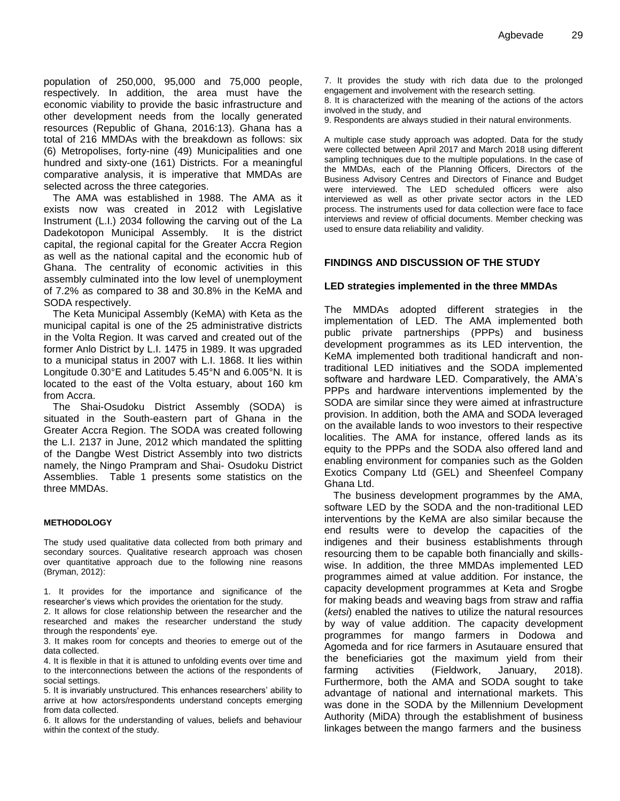population of 250,000, 95,000 and 75,000 people, respectively. In addition, the area must have the economic viability to provide the basic infrastructure and other development needs from the locally generated resources (Republic of Ghana, 2016:13). Ghana has a total of 216 MMDAs with the breakdown as follows: six (6) Metropolises, forty-nine (49) Municipalities and one hundred and sixty-one (161) Districts. For a meaningful comparative analysis, it is imperative that MMDAs are selected across the three categories.

The AMA was established in 1988. The AMA as it exists now was created in 2012 with Legislative Instrument (L.I.) 2034 following the carving out of the La Dadekotopon Municipal Assembly. It is the district capital, the regional capital for the Greater Accra Region as well as the national capital and the economic hub of Ghana. The centrality of economic activities in this assembly culminated into the low level of unemployment of 7.2% as compared to 38 and 30.8% in the KeMA and SODA respectively.

The Keta Municipal Assembly (KeMA) with Keta as the municipal capital is one of the 25 administrative districts in the Volta Region. It was carved and created out of the former Anlo District by L.I. 1475 in 1989. It was upgraded to a municipal status in 2007 with L.I. 1868. It lies within Longitude 0.30°E and Latitudes 5.45°N and 6.005°N. It is located to the east of the Volta estuary, about 160 km from Accra.

The Shai-Osudoku District Assembly (SODA) is situated in the South-eastern part of Ghana in the Greater Accra Region. The SODA was created following the L.I. 2137 in June, 2012 which mandated the splitting of the Dangbe West District Assembly into two districts namely, the Ningo Prampram and Shai- Osudoku District Assemblies. Table 1 presents some statistics on the three MMDAs.

#### **METHODOLOGY**

The study used qualitative data collected from both primary and secondary sources. Qualitative research approach was chosen over quantitative approach due to the following nine reasons (Bryman, 2012):

1. It provides for the importance and significance of the researcher's views which provides the orientation for the study.

2. It allows for close relationship between the researcher and the researched and makes the researcher understand the study through the respondents' eye.

3. It makes room for concepts and theories to emerge out of the data collected.

4. It is flexible in that it is attuned to unfolding events over time and to the interconnections between the actions of the respondents of social settings.

5. It is invariably unstructured. This enhances researchers' ability to arrive at how actors/respondents understand concepts emerging from data collected.

6. It allows for the understanding of values, beliefs and behaviour within the context of the study.

7. It provides the study with rich data due to the prolonged engagement and involvement with the research setting.

8. It is characterized with the meaning of the actions of the actors involved in the study, and

9. Respondents are always studied in their natural environments.

A multiple case study approach was adopted. Data for the study were collected between April 2017 and March 2018 using different sampling techniques due to the multiple populations. In the case of the MMDAs, each of the Planning Officers, Directors of the Business Advisory Centres and Directors of Finance and Budget were interviewed. The LED scheduled officers were also interviewed as well as other private sector actors in the LED process. The instruments used for data collection were face to face interviews and review of official documents. Member checking was used to ensure data reliability and validity.

#### **FINDINGS AND DISCUSSION OF THE STUDY**

#### **LED strategies implemented in the three MMDAs**

The MMDAs adopted different strategies in the implementation of LED. The AMA implemented both public private partnerships (PPPs) and business development programmes as its LED intervention, the KeMA implemented both traditional handicraft and nontraditional LED initiatives and the SODA implemented software and hardware LED. Comparatively, the AMA's PPPs and hardware interventions implemented by the SODA are similar since they were aimed at infrastructure provision. In addition, both the AMA and SODA leveraged on the available lands to woo investors to their respective localities. The AMA for instance, offered lands as its equity to the PPPs and the SODA also offered land and enabling environment for companies such as the Golden Exotics Company Ltd (GEL) and Sheenfeel Company Ghana Ltd.

The business development programmes by the AMA, software LED by the SODA and the non-traditional LED interventions by the KeMA are also similar because the end results were to develop the capacities of the indigenes and their business establishments through resourcing them to be capable both financially and skillswise. In addition, the three MMDAs implemented LED programmes aimed at value addition. For instance, the capacity development programmes at Keta and Srogbe for making beads and weaving bags from straw and raffia (*ketsi*) enabled the natives to utilize the natural resources by way of value addition. The capacity development programmes for mango farmers in Dodowa and Agomeda and for rice farmers in Asutauare ensured that the beneficiaries got the maximum yield from their farming activities (Fieldwork, January, 2018). Furthermore, both the AMA and SODA sought to take advantage of national and international markets. This was done in the SODA by the Millennium Development Authority (MiDA) through the establishment of business linkages between the mango farmers and the business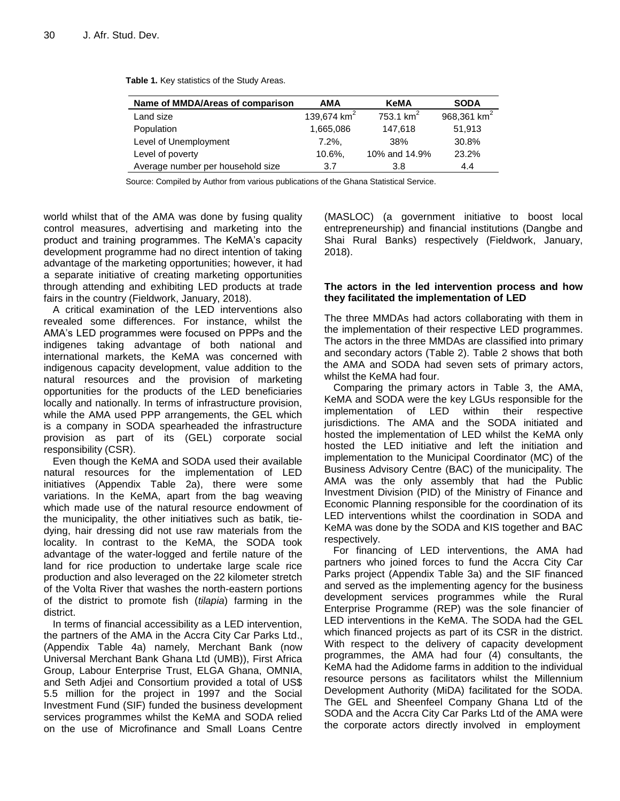| Name of MMDA/Areas of comparison  | AMA           | KeMA          | <b>SODA</b>             |
|-----------------------------------|---------------|---------------|-------------------------|
| Land size                         | 139,674 $km2$ | 753.1 $km^2$  | 968,361 km <sup>2</sup> |
| Population                        | 1,665,086     | 147.618       | 51,913                  |
| Level of Unemployment             | $7.2\%$ .     | 38%           | 30.8%                   |
| Level of poverty                  | $10.6\%$      | 10% and 14.9% | 23.2%                   |
| Average number per household size | 3.7           | 3.8           | 4.4                     |

**Table 1.** Key statistics of the Study Areas.

Source: Compiled by Author from various publications of the Ghana Statistical Service.

world whilst that of the AMA was done by fusing quality control measures, advertising and marketing into the product and training programmes. The KeMA's capacity development programme had no direct intention of taking advantage of the marketing opportunities; however, it had a separate initiative of creating marketing opportunities through attending and exhibiting LED products at trade fairs in the country (Fieldwork, January, 2018).

A critical examination of the LED interventions also revealed some differences. For instance, whilst the AMA's LED programmes were focused on PPPs and the indigenes taking advantage of both national and international markets, the KeMA was concerned with indigenous capacity development, value addition to the natural resources and the provision of marketing opportunities for the products of the LED beneficiaries locally and nationally. In terms of infrastructure provision, while the AMA used PPP arrangements, the GEL which is a company in SODA spearheaded the infrastructure provision as part of its (GEL) corporate social responsibility (CSR).

Even though the KeMA and SODA used their available natural resources for the implementation of LED initiatives (Appendix Table 2a), there were some variations. In the KeMA, apart from the bag weaving which made use of the natural resource endowment of the municipality, the other initiatives such as batik, tiedying, hair dressing did not use raw materials from the locality. In contrast to the KeMA, the SODA took advantage of the water-logged and fertile nature of the land for rice production to undertake large scale rice production and also leveraged on the 22 kilometer stretch of the Volta River that washes the north-eastern portions of the district to promote fish (*tilapia*) farming in the district.

In terms of financial accessibility as a LED intervention, the partners of the AMA in the Accra City Car Parks Ltd., (Appendix Table 4a) namely, Merchant Bank (now Universal Merchant Bank Ghana Ltd (UMB)), First Africa Group, Labour Enterprise Trust, ELGA Ghana, OMNIA, and Seth Adjei and Consortium provided a total of US\$ 5.5 million for the project in 1997 and the Social Investment Fund (SIF) funded the business development services programmes whilst the KeMA and SODA relied on the use of Microfinance and Small Loans Centre (MASLOC) (a government initiative to boost local entrepreneurship) and financial institutions (Dangbe and Shai Rural Banks) respectively (Fieldwork, January, 2018).

#### **The actors in the led intervention process and how they facilitated the implementation of LED**

The three MMDAs had actors collaborating with them in the implementation of their respective LED programmes. The actors in the three MMDAs are classified into primary and secondary actors (Table 2). Table 2 shows that both the AMA and SODA had seven sets of primary actors, whilst the KeMA had four.

Comparing the primary actors in Table 3, the AMA, KeMA and SODA were the key LGUs responsible for the implementation of LED within their respective jurisdictions. The AMA and the SODA initiated and hosted the implementation of LED whilst the KeMA only hosted the LED initiative and left the initiation and implementation to the Municipal Coordinator (MC) of the Business Advisory Centre (BAC) of the municipality. The AMA was the only assembly that had the Public Investment Division (PID) of the Ministry of Finance and Economic Planning responsible for the coordination of its LED interventions whilst the coordination in SODA and KeMA was done by the SODA and KIS together and BAC respectively.

For financing of LED interventions, the AMA had partners who joined forces to fund the Accra City Car Parks project (Appendix Table 3a) and the SIF financed and served as the implementing agency for the business development services programmes while the Rural Enterprise Programme (REP) was the sole financier of LED interventions in the KeMA. The SODA had the GEL which financed projects as part of its CSR in the district. With respect to the delivery of capacity development programmes, the AMA had four (4) consultants, the KeMA had the Adidome farms in addition to the individual resource persons as facilitators whilst the Millennium Development Authority (MiDA) facilitated for the SODA. The GEL and Sheenfeel Company Ghana Ltd of the SODA and the Accra City Car Parks Ltd of the AMA were the corporate actors directly involved in employment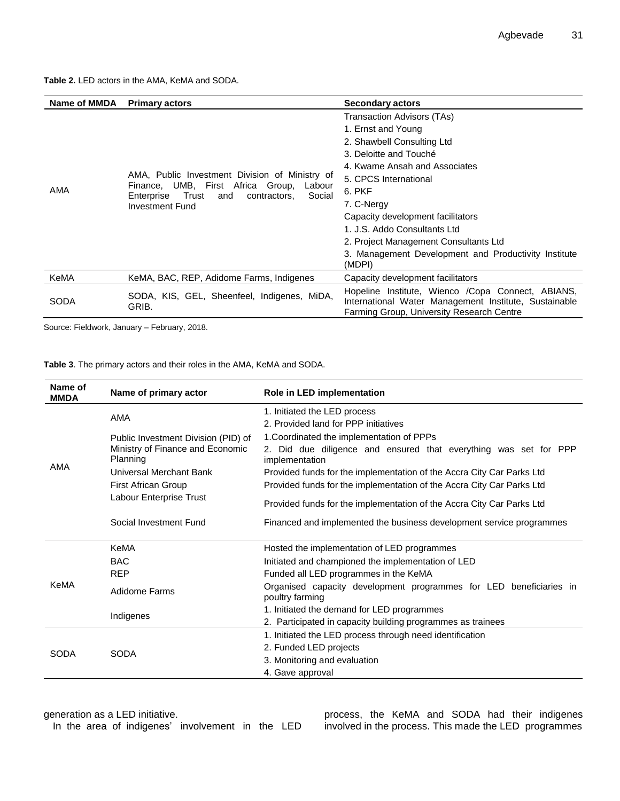**Table 2.** LED actors in the AMA, KeMA and SODA.

| Name of MMDA | <b>Primary actors</b>                                                                                                                                                           | <b>Secondary actors</b>                                                                                                                                                                                                                                                                                                                                                     |
|--------------|---------------------------------------------------------------------------------------------------------------------------------------------------------------------------------|-----------------------------------------------------------------------------------------------------------------------------------------------------------------------------------------------------------------------------------------------------------------------------------------------------------------------------------------------------------------------------|
| AMA          | AMA, Public Investment Division of Ministry of<br>Finance, UMB, First Africa Group,<br>Labour<br>and<br>contractors.<br>Social<br>Enterprise<br>Trust<br><b>Investment Fund</b> | Transaction Advisors (TAs)<br>1. Ernst and Young<br>2. Shawbell Consulting Ltd<br>3. Deloitte and Touché<br>4. Kwame Ansah and Associates<br>5. CPCS International<br>6. PKF<br>7. C-Nergy<br>Capacity development facilitators<br>1. J.S. Addo Consultants Ltd.<br>2. Project Management Consultants Ltd<br>3. Management Development and Productivity Institute<br>(MDPI) |
| KeMA         | KeMA, BAC, REP, Adidome Farms, Indigenes                                                                                                                                        | Capacity development facilitators                                                                                                                                                                                                                                                                                                                                           |
| <b>SODA</b>  | SODA, KIS, GEL, Sheenfeel, Indigenes, MiDA,<br>GRIB.                                                                                                                            | Hopeline Institute, Wienco /Copa Connect, ABIANS,<br>International Water Management Institute, Sustainable<br>Farming Group, University Research Centre                                                                                                                                                                                                                     |

Source: Fieldwork, January – February, 2018.

**Table 3**. The primary actors and their roles in the AMA, KeMA and SODA.

| Name of<br><b>MMDA</b> | Name of primary actor                                                               | Role in LED implementation                                                                                                      |  |  |
|------------------------|-------------------------------------------------------------------------------------|---------------------------------------------------------------------------------------------------------------------------------|--|--|
|                        | AMA                                                                                 | 1. Initiated the LED process<br>2. Provided land for PPP initiatives                                                            |  |  |
|                        | Public Investment Division (PID) of<br>Ministry of Finance and Economic<br>Planning | 1. Coordinated the implementation of PPPs<br>2. Did due diligence and ensured that everything was set for PPP<br>implementation |  |  |
| AMA                    | Universal Merchant Bank                                                             | Provided funds for the implementation of the Accra City Car Parks Ltd                                                           |  |  |
|                        | First African Group                                                                 | Provided funds for the implementation of the Accra City Car Parks Ltd                                                           |  |  |
|                        | Labour Enterprise Trust                                                             | Provided funds for the implementation of the Accra City Car Parks Ltd                                                           |  |  |
|                        | Social Investment Fund                                                              | Financed and implemented the business development service programmes                                                            |  |  |
|                        | KeMA                                                                                | Hosted the implementation of LED programmes                                                                                     |  |  |
|                        | <b>BAC</b>                                                                          | Initiated and championed the implementation of LED                                                                              |  |  |
|                        | <b>REP</b>                                                                          | Funded all LED programmes in the KeMA                                                                                           |  |  |
| KeMA                   | Adidome Farms                                                                       | Organised capacity development programmes for LED beneficiaries in<br>poultry farming                                           |  |  |
|                        | Indigenes                                                                           | 1. Initiated the demand for LED programmes                                                                                      |  |  |
|                        |                                                                                     | 2. Participated in capacity building programmes as trainees                                                                     |  |  |
|                        |                                                                                     | 1. Initiated the LED process through need identification                                                                        |  |  |
| <b>SODA</b>            | <b>SODA</b>                                                                         | 2. Funded LED projects                                                                                                          |  |  |
|                        |                                                                                     | 3. Monitoring and evaluation                                                                                                    |  |  |
|                        |                                                                                     | 4. Gave approval                                                                                                                |  |  |

generation as a LED initiative.

In the area of indigenes' involvement in the LED

process, the KeMA and SODA had their indigenes involved in the process. This made the LED programmes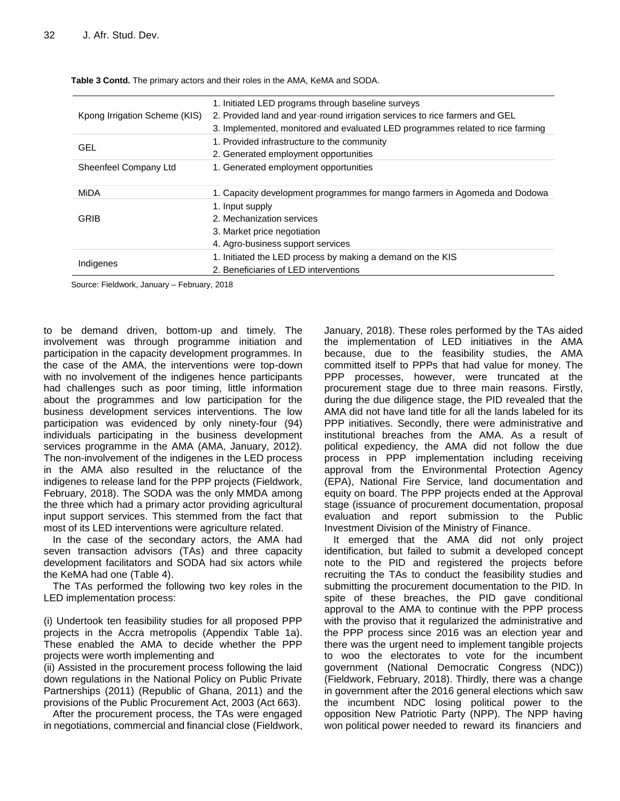| Kpong Irrigation Scheme (KIS) | 1. Initiated LED programs through baseline surveys<br>2. Provided land and year-round irrigation services to rice farmers and GEL<br>3. Implemented, monitored and evaluated LED programmes related to rice farming |
|-------------------------------|---------------------------------------------------------------------------------------------------------------------------------------------------------------------------------------------------------------------|
| <b>GEL</b>                    | 1. Provided infrastructure to the community<br>2. Generated employment opportunities                                                                                                                                |
| Sheenfeel Company Ltd         | 1. Generated employment opportunities                                                                                                                                                                               |
| MiDA                          | 1. Capacity development programmes for mango farmers in Agomeda and Dodowa                                                                                                                                          |
| <b>GRIB</b>                   | 1. Input supply<br>2. Mechanization services<br>3. Market price negotiation<br>4. Agro-business support services                                                                                                    |
| Indigenes                     | 1. Initiated the LED process by making a demand on the KIS<br>2. Beneficiaries of LED interventions                                                                                                                 |

**Table 3 Contd.** The primary actors and their roles in the AMA, KeMA and SODA.

Source: Fieldwork, January – February, 2018

to be demand driven, bottom-up and timely. The involvement was through programme initiation and participation in the capacity development programmes. In the case of the AMA, the interventions were top-down with no involvement of the indigenes hence participants had challenges such as poor timing, little information about the programmes and low participation for the business development services interventions. The low participation was evidenced by only ninety-four (94) individuals participating in the business development services programme in the AMA (AMA, January, 2012). The non-involvement of the indigenes in the LED process in the AMA also resulted in the reluctance of the indigenes to release land for the PPP projects (Fieldwork, February, 2018). The SODA was the only MMDA among the three which had a primary actor providing agricultural input support services. This stemmed from the fact that most of its LED interventions were agriculture related.

In the case of the secondary actors, the AMA had seven transaction advisors (TAs) and three capacity development facilitators and SODA had six actors while the KeMA had one (Table 4).

The TAs performed the following two key roles in the LED implementation process:

(i) Undertook ten feasibility studies for all proposed PPP projects in the Accra metropolis (Appendix Table 1a). These enabled the AMA to decide whether the PPP projects were worth implementing and

(ii) Assisted in the procurement process following the laid down regulations in the National Policy on Public Private Partnerships (2011) (Republic of Ghana, 2011) and the provisions of the Public Procurement Act, 2003 (Act 663).

After the procurement process, the TAs were engaged in negotiations, commercial and financial close (Fieldwork,

January, 2018). These roles performed by the TAs aided the implementation of LED initiatives in the AMA because, due to the feasibility studies, the AMA committed itself to PPPs that had value for money. The PPP processes, however, were truncated at the procurement stage due to three main reasons. Firstly, during the due diligence stage, the PID revealed that the AMA did not have land title for all the lands labeled for its PPP initiatives. Secondly, there were administrative and institutional breaches from the AMA. As a result of political expediency, the AMA did not follow the due process in PPP implementation including receiving approval from the Environmental Protection Agency (EPA), National Fire Service, land documentation and equity on board. The PPP projects ended at the Approval stage (issuance of procurement documentation, proposal evaluation and report submission to the Public Investment Division of the Ministry of Finance.

It emerged that the AMA did not only project identification, but failed to submit a developed concept note to the PID and registered the projects before recruiting the TAs to conduct the feasibility studies and submitting the procurement documentation to the PID. In spite of these breaches, the PID gave conditional approval to the AMA to continue with the PPP process with the proviso that it regularized the administrative and the PPP process since 2016 was an election year and there was the urgent need to implement tangible projects to woo the electorates to vote for the incumbent government (National Democratic Congress (NDC)) (Fieldwork, February, 2018). Thirdly, there was a change in government after the 2016 general elections which saw the incumbent NDC losing political power to the opposition New Patriotic Party (NPP). The NPP having won political power needed to reward its financiers and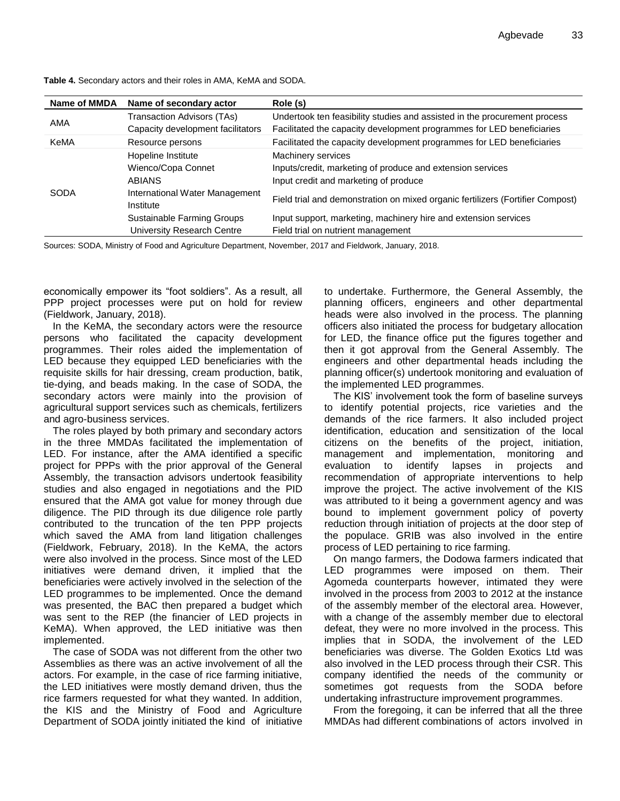| <b>Name of MMDA</b> | Name of secondary actor                     | Role (s)                                                                       |  |
|---------------------|---------------------------------------------|--------------------------------------------------------------------------------|--|
| AMA                 | <b>Transaction Advisors (TAs)</b>           | Undertook ten feasibility studies and assisted in the procurement process      |  |
|                     | Capacity development facilitators           | Facilitated the capacity development programmes for LED beneficiaries          |  |
| KeMA                | Resource persons                            | Facilitated the capacity development programmes for LED beneficiaries          |  |
|                     | Hopeline Institute                          | Machinery services                                                             |  |
|                     | Wienco/Copa Connet                          | Inputs/credit, marketing of produce and extension services                     |  |
|                     | <b>ABIANS</b>                               | Input credit and marketing of produce                                          |  |
| <b>SODA</b>         | International Water Management<br>Institute | Field trial and demonstration on mixed organic fertilizers (Fortifier Compost) |  |
|                     | Sustainable Farming Groups                  | Input support, marketing, machinery hire and extension services                |  |
|                     | University Research Centre                  | Field trial on nutrient management                                             |  |

**Table 4.** Secondary actors and their roles in AMA, KeMA and SODA.

Sources: SODA, Ministry of Food and Agriculture Department, November, 2017 and Fieldwork, January, 2018.

economically empower its "foot soldiers". As a result, all PPP project processes were put on hold for review (Fieldwork, January, 2018).

In the KeMA, the secondary actors were the resource persons who facilitated the capacity development programmes. Their roles aided the implementation of LED because they equipped LED beneficiaries with the requisite skills for hair dressing, cream production, batik, tie-dying, and beads making. In the case of SODA, the secondary actors were mainly into the provision of agricultural support services such as chemicals, fertilizers and agro-business services.

The roles played by both primary and secondary actors in the three MMDAs facilitated the implementation of LED. For instance, after the AMA identified a specific project for PPPs with the prior approval of the General Assembly, the transaction advisors undertook feasibility studies and also engaged in negotiations and the PID ensured that the AMA got value for money through due diligence. The PID through its due diligence role partly contributed to the truncation of the ten PPP projects which saved the AMA from land litigation challenges (Fieldwork, February, 2018). In the KeMA, the actors were also involved in the process. Since most of the LED initiatives were demand driven, it implied that the beneficiaries were actively involved in the selection of the LED programmes to be implemented. Once the demand was presented, the BAC then prepared a budget which was sent to the REP (the financier of LED projects in KeMA). When approved, the LED initiative was then implemented.

The case of SODA was not different from the other two Assemblies as there was an active involvement of all the actors. For example, in the case of rice farming initiative, the LED initiatives were mostly demand driven, thus the rice farmers requested for what they wanted. In addition, the KIS and the Ministry of Food and Agriculture Department of SODA jointly initiated the kind of initiative to undertake. Furthermore, the General Assembly, the planning officers, engineers and other departmental heads were also involved in the process. The planning officers also initiated the process for budgetary allocation for LED, the finance office put the figures together and then it got approval from the General Assembly. The engineers and other departmental heads including the planning officer(s) undertook monitoring and evaluation of the implemented LED programmes.

The KIS' involvement took the form of baseline surveys to identify potential projects, rice varieties and the demands of the rice farmers. It also included project identification, education and sensitization of the local citizens on the benefits of the project, initiation, management and implementation, monitoring and evaluation to identify lapses in projects and recommendation of appropriate interventions to help improve the project. The active involvement of the KIS was attributed to it being a government agency and was bound to implement government policy of poverty reduction through initiation of projects at the door step of the populace. GRIB was also involved in the entire process of LED pertaining to rice farming.

On mango farmers, the Dodowa farmers indicated that LED programmes were imposed on them. Their Agomeda counterparts however, intimated they were involved in the process from 2003 to 2012 at the instance of the assembly member of the electoral area. However, with a change of the assembly member due to electoral defeat, they were no more involved in the process. This implies that in SODA, the involvement of the LED beneficiaries was diverse. The Golden Exotics Ltd was also involved in the LED process through their CSR. This company identified the needs of the community or sometimes got requests from the SODA before undertaking infrastructure improvement programmes.

From the foregoing, it can be inferred that all the three MMDAs had different combinations of actors involved in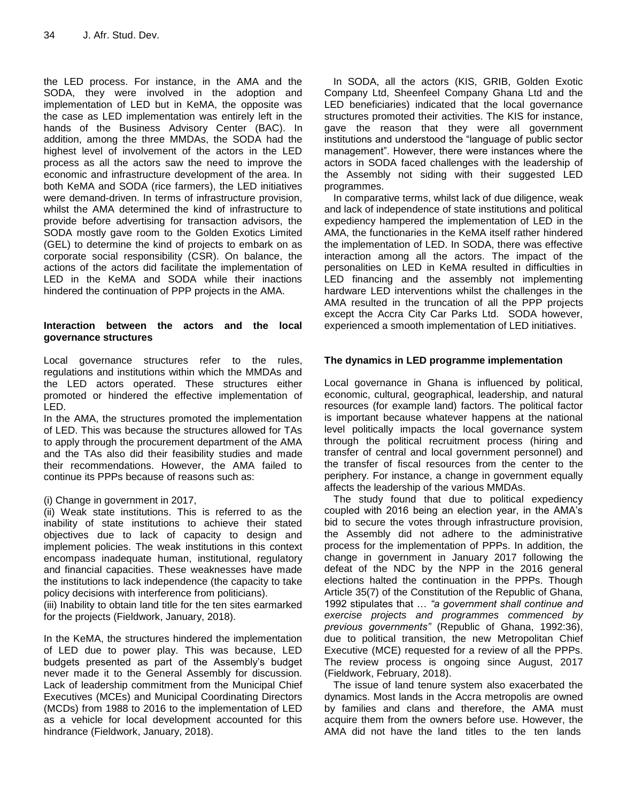the LED process. For instance, in the AMA and the SODA, they were involved in the adoption and implementation of LED but in KeMA, the opposite was the case as LED implementation was entirely left in the hands of the Business Advisory Center (BAC). In addition, among the three MMDAs, the SODA had the highest level of involvement of the actors in the LED process as all the actors saw the need to improve the economic and infrastructure development of the area. In both KeMA and SODA (rice farmers), the LED initiatives were demand-driven. In terms of infrastructure provision, whilst the AMA determined the kind of infrastructure to provide before advertising for transaction advisors, the SODA mostly gave room to the Golden Exotics Limited (GEL) to determine the kind of projects to embark on as corporate social responsibility (CSR). On balance, the actions of the actors did facilitate the implementation of LED in the KeMA and SODA while their inactions hindered the continuation of PPP projects in the AMA.

#### **Interaction between the actors and the local governance structures**

Local governance structures refer to the rules, regulations and institutions within which the MMDAs and the LED actors operated. These structures either promoted or hindered the effective implementation of LED.

In the AMA, the structures promoted the implementation of LED. This was because the structures allowed for TAs to apply through the procurement department of the AMA and the TAs also did their feasibility studies and made their recommendations. However, the AMA failed to continue its PPPs because of reasons such as:

#### (i) Change in government in 2017,

(ii) Weak state institutions. This is referred to as the inability of state institutions to achieve their stated objectives due to lack of capacity to design and implement policies. The weak institutions in this context encompass inadequate human, institutional, regulatory and financial capacities. These weaknesses have made the institutions to lack independence (the capacity to take policy decisions with interference from politicians).

(iii) Inability to obtain land title for the ten sites earmarked for the projects (Fieldwork, January, 2018).

In the KeMA, the structures hindered the implementation of LED due to power play. This was because, LED budgets presented as part of the Assembly's budget never made it to the General Assembly for discussion. Lack of leadership commitment from the Municipal Chief Executives (MCEs) and Municipal Coordinating Directors (MCDs) from 1988 to 2016 to the implementation of LED as a vehicle for local development accounted for this hindrance (Fieldwork, January, 2018).

In SODA, all the actors (KIS, GRIB, Golden Exotic Company Ltd, Sheenfeel Company Ghana Ltd and the LED beneficiaries) indicated that the local governance structures promoted their activities. The KIS for instance, gave the reason that they were all government institutions and understood the "language of public sector management". However, there were instances where the actors in SODA faced challenges with the leadership of the Assembly not siding with their suggested LED programmes.

In comparative terms, whilst lack of due diligence, weak and lack of independence of state institutions and political expediency hampered the implementation of LED in the AMA, the functionaries in the KeMA itself rather hindered the implementation of LED. In SODA, there was effective interaction among all the actors. The impact of the personalities on LED in KeMA resulted in difficulties in LED financing and the assembly not implementing hardware LED interventions whilst the challenges in the AMA resulted in the truncation of all the PPP projects except the Accra City Car Parks Ltd. SODA however, experienced a smooth implementation of LED initiatives.

#### **The dynamics in LED programme implementation**

Local governance in Ghana is influenced by political, economic, cultural, geographical, leadership, and natural resources (for example land) factors. The political factor is important because whatever happens at the national level politically impacts the local governance system through the political recruitment process (hiring and transfer of central and local government personnel) and the transfer of fiscal resources from the center to the periphery. For instance, a change in government equally affects the leadership of the various MMDAs.

The study found that due to political expediency coupled with 2016 being an election year, in the AMA's bid to secure the votes through infrastructure provision, the Assembly did not adhere to the administrative process for the implementation of PPPs. In addition, the change in government in January 2017 following the defeat of the NDC by the NPP in the 2016 general elections halted the continuation in the PPPs. Though Article 35(7) of the Constitution of the Republic of Ghana, 1992 stipulates that … *"a government shall continue and exercise projects and programmes commenced by previous governments"* (Republic of Ghana, 1992:36), due to political transition, the new Metropolitan Chief Executive (MCE) requested for a review of all the PPPs. The review process is ongoing since August, 2017 (Fieldwork, February, 2018).

The issue of land tenure system also exacerbated the dynamics. Most lands in the Accra metropolis are owned by families and clans and therefore, the AMA must acquire them from the owners before use. However, the AMA did not have the land titles to the ten lands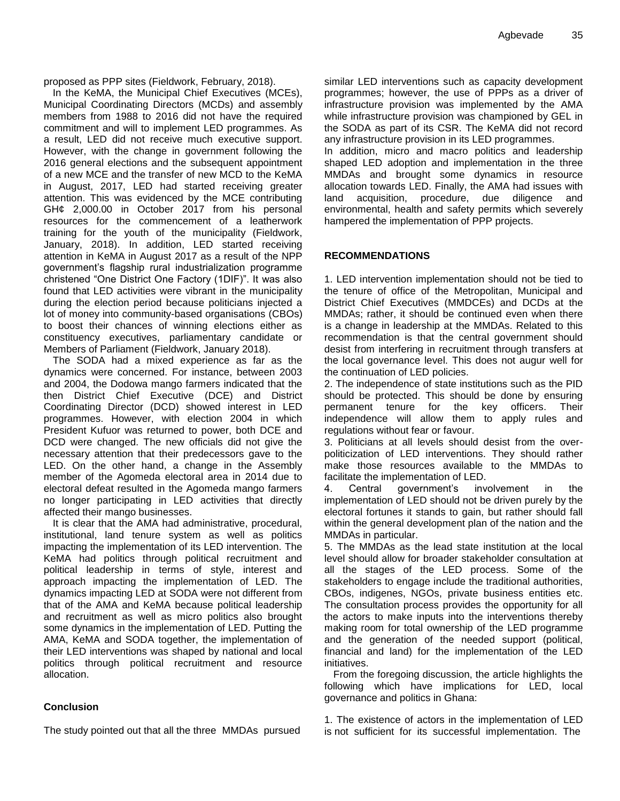proposed as PPP sites (Fieldwork, February, 2018).

In the KeMA, the Municipal Chief Executives (MCEs), Municipal Coordinating Directors (MCDs) and assembly members from 1988 to 2016 did not have the required commitment and will to implement LED programmes. As a result, LED did not receive much executive support. However, with the change in government following the 2016 general elections and the subsequent appointment of a new MCE and the transfer of new MCD to the KeMA in August, 2017, LED had started receiving greater attention. This was evidenced by the MCE contributing GH¢ 2,000.00 in October 2017 from his personal resources for the commencement of a leatherwork training for the youth of the municipality (Fieldwork, January, 2018). In addition, LED started receiving attention in KeMA in August 2017 as a result of the NPP government's flagship rural industrialization programme christened "One District One Factory (1DIF)". It was also found that LED activities were vibrant in the municipality during the election period because politicians injected a lot of money into community-based organisations (CBOs) to boost their chances of winning elections either as constituency executives, parliamentary candidate or Members of Parliament (Fieldwork, January 2018).

The SODA had a mixed experience as far as the dynamics were concerned. For instance, between 2003 and 2004, the Dodowa mango farmers indicated that the then District Chief Executive (DCE) and District Coordinating Director (DCD) showed interest in LED programmes. However, with election 2004 in which President Kufuor was returned to power, both DCE and DCD were changed. The new officials did not give the necessary attention that their predecessors gave to the LED. On the other hand, a change in the Assembly member of the Agomeda electoral area in 2014 due to electoral defeat resulted in the Agomeda mango farmers no longer participating in LED activities that directly affected their mango businesses.

It is clear that the AMA had administrative, procedural, institutional, land tenure system as well as politics impacting the implementation of its LED intervention. The KeMA had politics through political recruitment and political leadership in terms of style, interest and approach impacting the implementation of LED. The dynamics impacting LED at SODA were not different from that of the AMA and KeMA because political leadership and recruitment as well as micro politics also brought some dynamics in the implementation of LED. Putting the AMA, KeMA and SODA together, the implementation of their LED interventions was shaped by national and local politics through political recruitment and resource allocation.

#### **Conclusion**

The study pointed out that all the three MMDAs pursued

similar LED interventions such as capacity development programmes; however, the use of PPPs as a driver of infrastructure provision was implemented by the AMA while infrastructure provision was championed by GEL in the SODA as part of its CSR. The KeMA did not record any infrastructure provision in its LED programmes.

In addition, micro and macro politics and leadership shaped LED adoption and implementation in the three MMDAs and brought some dynamics in resource allocation towards LED. Finally, the AMA had issues with land acquisition, procedure, due diligence and environmental, health and safety permits which severely hampered the implementation of PPP projects.

#### **RECOMMENDATIONS**

1. LED intervention implementation should not be tied to the tenure of office of the Metropolitan, Municipal and District Chief Executives (MMDCEs) and DCDs at the MMDAs; rather, it should be continued even when there is a change in leadership at the MMDAs. Related to this recommendation is that the central government should desist from interfering in recruitment through transfers at the local governance level. This does not augur well for the continuation of LED policies.

2. The independence of state institutions such as the PID should be protected. This should be done by ensuring permanent tenure for the key officers. Their independence will allow them to apply rules and regulations without fear or favour.

3. Politicians at all levels should desist from the overpoliticization of LED interventions. They should rather make those resources available to the MMDAs to facilitate the implementation of LED.

4. Central government's involvement in the implementation of LED should not be driven purely by the electoral fortunes it stands to gain, but rather should fall within the general development plan of the nation and the MMDAs in particular.

5. The MMDAs as the lead state institution at the local level should allow for broader stakeholder consultation at all the stages of the LED process. Some of the stakeholders to engage include the traditional authorities, CBOs, indigenes, NGOs, private business entities etc. The consultation process provides the opportunity for all the actors to make inputs into the interventions thereby making room for total ownership of the LED programme and the generation of the needed support (political, financial and land) for the implementation of the LED initiatives.

From the foregoing discussion, the article highlights the following which have implications for LED, local governance and politics in Ghana:

1. The existence of actors in the implementation of LED is not sufficient for its successful implementation. The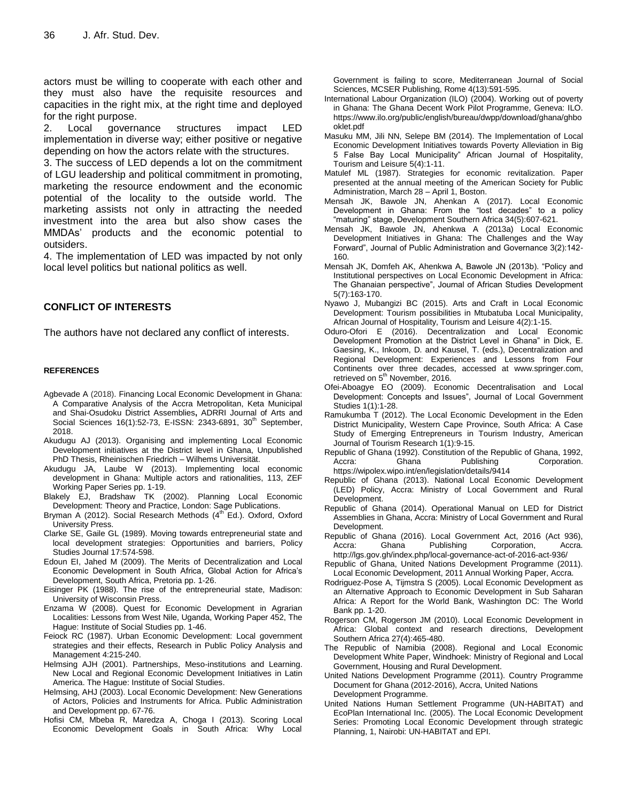actors must be willing to cooperate with each other and they must also have the requisite resources and capacities in the right mix, at the right time and deployed for the right purpose.

2. Local governance structures impact LED implementation in diverse way; either positive or negative depending on how the actors relate with the structures.

3. The success of LED depends a lot on the commitment of LGU leadership and political commitment in promoting, marketing the resource endowment and the economic potential of the locality to the outside world. The marketing assists not only in attracting the needed investment into the area but also show cases the MMDAs' products and the economic potential to outsiders.

4. The implementation of LED was impacted by not only local level politics but national politics as well.

#### **CONFLICT OF INTERESTS**

The authors have not declared any conflict of interests.

#### **REFERENCES**

- Agbevade A (2018). Financing Local Economic Development in Ghana: A Comparative Analysis of the Accra Metropolitan, Keta Municipal and Shai-Osudoku District Assemblies**,** ADRRI Journal of Arts and Social Sciences 16(1):52-73, E-ISSN: 2343-6891, 30<sup>th</sup> September, 2018.
- Akudugu AJ (2013). Organising and implementing Local Economic Development initiatives at the District level in Ghana, Unpublished PhD Thesis, Rheinischen Friedrich – Wilhems Universität.
- Akudugu JA, Laube W (2013). Implementing local economic development in Ghana: Multiple actors and rationalities, 113, ZEF Working Paper Series pp. 1-19.
- Blakely EJ, Bradshaw TK (2002). Planning Local Economic Development: Theory and Practice, London: Sage Publications.
- Bryman A (2012). Social Research Methods (4<sup>th Ed.)</sup>. Oxford, Oxford University Press.
- Clarke SE, Gaile GL (1989). Moving towards entrepreneurial state and local development strategies: Opportunities and barriers, Policy Studies Journal 17:574-598.
- Edoun EI, Jahed M (2009). The Merits of Decentralization and Local Economic Development in South Africa, Global Action for Africa's Development, South Africa, Pretoria pp. 1-26.
- Eisinger PK (1988). The rise of the entrepreneurial state, Madison: University of Wisconsin Press.
- Enzama W (2008). Quest for Economic Development in Agrarian Localities: Lessons from West Nile, Uganda, Working Paper 452, The Hague: Institute of Social Studies pp. 1-46.
- Feiock RC (1987). Urban Economic Development: Local government strategies and their effects, Research in Public Policy Analysis and Management 4:215-240.
- Helmsing AJH (2001). Partnerships, Meso-institutions and Learning. New Local and Regional Economic Development Initiatives in Latin America. The Hague: Institute of Social Studies.
- Helmsing, AHJ (2003). Local Economic Development: New Generations of Actors, Policies and Instruments for Africa. Public Administration and Development pp. 67-76.
- Hofisi CM, Mbeba R, Maredza A, Choga I (2013). Scoring Local Economic Development Goals in South Africa: Why Local

Government is failing to score, Mediterranean Journal of Social Sciences, MCSER Publishing, Rome 4(13):591-595.

- International Labour Organization (ILO) (2004). Working out of poverty in Ghana: The Ghana Decent Work Pilot Programme, Geneva: ILO. https://www.ilo.org/public/english/bureau/dwpp/download/ghana/ghbo oklet.pdf
- Masuku MM, Jili NN, Selepe BM (2014). The Implementation of Local Economic Development Initiatives towards Poverty Alleviation in Big 5 False Bay Local Municipality" African Journal of Hospitality, Tourism and Leisure 5(4):1-11.
- Matulef ML (1987). Strategies for economic revitalization. Paper presented at the annual meeting of the American Society for Public Administration, March 28 – April 1, Boston.
- Mensah JK, Bawole JN, Ahenkan A (2017). Local Economic Development in Ghana: From the "lost decades" to a policy "maturing" stage, Development Southern Africa 34(5):607-621.
- Mensah JK, Bawole JN, Ahenkwa A (2013a) Local Economic Development Initiatives in Ghana: The Challenges and the Way Forward", Journal of Public Administration and Governance 3(2):142- 160.
- Mensah JK, Domfeh AK, Ahenkwa A, Bawole JN (2013b). "Policy and Institutional perspectives on Local Economic Development in Africa: The Ghanaian perspective", Journal of African Studies Development 5(7):163-170.
- Nyawo J, Mubangizi BC (2015). Arts and Craft in Local Economic Development: Tourism possibilities in Mtubatuba Local Municipality, African Journal of Hospitality, Tourism and Leisure 4(2):1-15.
- Oduro-Ofori E (2016). Decentralization and Local Economic Development Promotion at the District Level in Ghana" in Dick, E. Gaesing, K., Inkoom, D. and Kausel, T. (eds.), Decentralization and Regional Development: Experiences and Lessons from Four Continents over three decades, accessed at www.springer.com, retrieved on 5<sup>th</sup> November, 2016.
- Ofei-Aboagye EO (2009). Economic Decentralisation and Local Development: Concepts and Issues", Journal of Local Government Studies 1(1):1-28.
- Ramukumba T (2012). The Local Economic Development in the Eden District Municipality, Western Cape Province, South Africa: A Case Study of Emerging Entrepreneurs in Tourism Industry, American Journal of Tourism Research 1(1):9-15.
- Republic of Ghana (1992). Constitution of the Republic of Ghana, 1992, Accra: Ghana Publishing Corporation. https://wipolex.wipo.int/en/legislation/details/9414
- Republic of Ghana (2013). National Local Economic Development (LED) Policy, Accra: Ministry of Local Government and Rural Development.
- Republic of Ghana (2014). Operational Manual on LED for District Assemblies in Ghana, Accra: Ministry of Local Government and Rural Development.
- Republic of Ghana (2016). Local Government Act, 2016 (Act 936), Accra: Ghana Publishing Corporation, Accra. http://lgs.gov.gh/index.php/local-governance-act-of-2016-act-936/
- Republic of Ghana, United Nations Development Programme (2011). Local Economic Development, 2011 Annual Working Paper, Accra.
- Rodriguez-Pose A, Tijmstra S (2005). Local Economic Development as an Alternative Approach to Economic Development in Sub Saharan Africa: A Report for the World Bank, Washington DC: The World Bank pp. 1-20.
- Rogerson CM, Rogerson JM (2010). Local Economic Development in Africa: Global context and research directions, Development Southern Africa 27(4):465-480.
- The Republic of Namibia (2008). Regional and Local Economic Development White Paper, Windhoek: Ministry of Regional and Local Government, Housing and Rural Development.
- United Nations Development Programme (2011). Country Programme Document for Ghana (2012-2016), Accra, United Nations Development Programme.
- United Nations Human Settlement Programme (UN-HABITAT) and EcoPlan International Inc. (2005). The Local Economic Development Series: Promoting Local Economic Development through strategic Planning, 1, Nairobi: UN-HABITAT and EPI.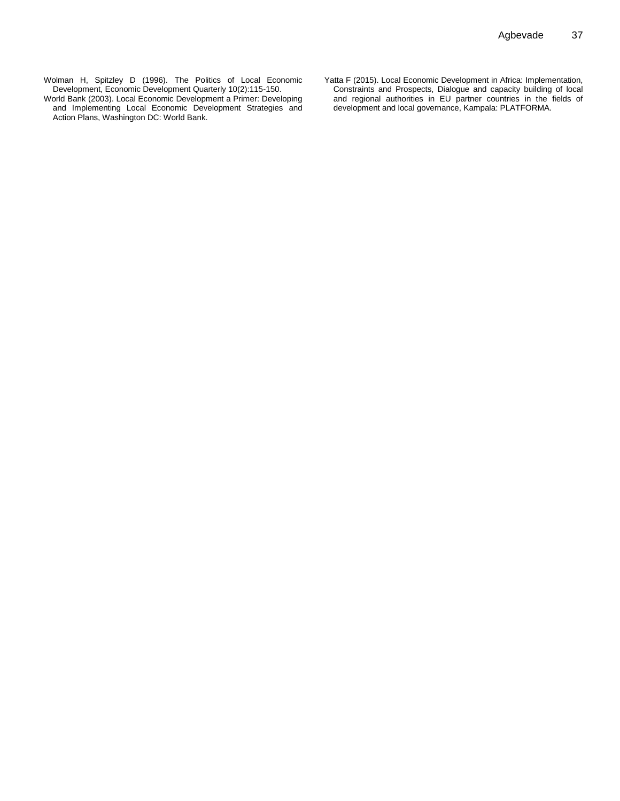Wolman H, Spitzley D (1996). The Politics of Local Economic Development, Economic Development Quarterly 10(2):115-150.

World Bank (2003). Local Economic Development a Primer: Developing and Implementing Local Economic Development Strategies and Action Plans, Washington DC: World Bank.

Yatta F (2015). Local Economic Development in Africa: Implementation, Constraints and Prospects, Dialogue and capacity building of local and regional authorities in EU partner countries in the fields of development and local governance, Kampala: PLATFORMA.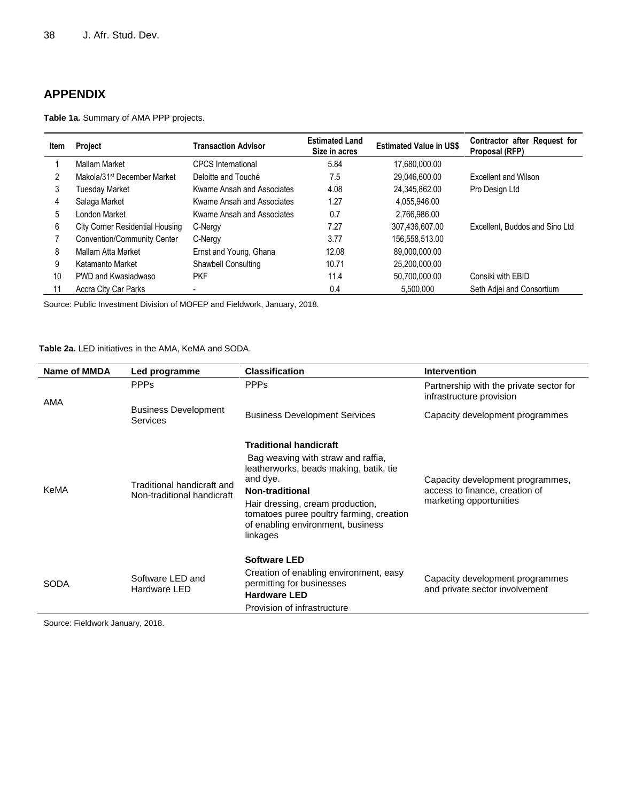# **APPENDIX**

**Table 1a.** Summary of AMA PPP projects.

| Item | Project                                 | <b>Transaction Advisor</b> | <b>Estimated Land</b><br>Size in acres | <b>Estimated Value in US\$</b> | Contractor after Request for<br>Proposal (RFP) |
|------|-----------------------------------------|----------------------------|----------------------------------------|--------------------------------|------------------------------------------------|
|      | Mallam Market                           | <b>CPCS</b> International  | 5.84                                   | 17.680.000.00                  |                                                |
| 2    | Makola/31 <sup>st</sup> December Market | Deloitte and Touché        | 7.5                                    | 29,046,600.00                  | <b>Excellent and Wilson</b>                    |
| 3    | <b>Tuesday Market</b>                   | Kwame Ansah and Associates | 4.08                                   | 24,345,862.00                  | Pro Design Ltd                                 |
| 4    | Salaga Market                           | Kwame Ansah and Associates | 1.27                                   | 4,055,946.00                   |                                                |
| 5    | London Market                           | Kwame Ansah and Associates | 0.7                                    | 2,766,986.00                   |                                                |
| 6    | <b>City Corner Residential Housing</b>  | C-Nergy                    | 7.27                                   | 307,436,607.00                 | Excellent, Buddos and Sino Ltd                 |
|      | Convention/Community Center             | C-Nergy                    | 3.77                                   | 156.558.513.00                 |                                                |
| 8    | Mallam Atta Market                      | Ernst and Young, Ghana     | 12.08                                  | 89.000.000.00                  |                                                |
| 9    | Katamanto Market                        | Shawbell Consulting        | 10.71                                  | 25.200.000.00                  |                                                |
| 10   | PWD and Kwasiadwaso                     | <b>PKF</b>                 | 11.4                                   | 50.700.000.00                  | Consiki with EBID                              |
| 11   | Accra City Car Parks                    |                            | 0.4                                    | 5.500.000                      | Seth Adjei and Consortium                      |

Source: Public Investment Division of MOFEP and Fieldwork, January, 2018.

**Table 2a.** LED initiatives in the AMA, KeMA and SODA.

| Name of MMDA | Led programme                                            | <b>Classification</b>                                                                                                                                                                                                                                                                | <b>Intervention</b>                                                                           |
|--------------|----------------------------------------------------------|--------------------------------------------------------------------------------------------------------------------------------------------------------------------------------------------------------------------------------------------------------------------------------------|-----------------------------------------------------------------------------------------------|
| AMA          | <b>PPPs</b>                                              | <b>PPPs</b>                                                                                                                                                                                                                                                                          | Partnership with the private sector for<br>infrastructure provision                           |
|              | <b>Business Development</b><br>Services                  | <b>Business Development Services</b>                                                                                                                                                                                                                                                 | Capacity development programmes                                                               |
| KeMA         | Traditional handicraft and<br>Non-traditional handicraft | <b>Traditional handicraft</b><br>Bag weaving with straw and raffia,<br>leatherworks, beads making, batik, tie<br>and dye.<br><b>Non-traditional</b><br>Hair dressing, cream production,<br>tomatoes puree poultry farming, creation<br>of enabling environment, business<br>linkages | Capacity development programmes,<br>access to finance, creation of<br>marketing opportunities |
| <b>SODA</b>  | Software LED and<br>Hardware LED                         | <b>Software LED</b><br>Creation of enabling environment, easy<br>permitting for businesses<br><b>Hardware LED</b><br>Provision of infrastructure                                                                                                                                     | Capacity development programmes<br>and private sector involvement                             |

Source: Fieldwork January, 2018.